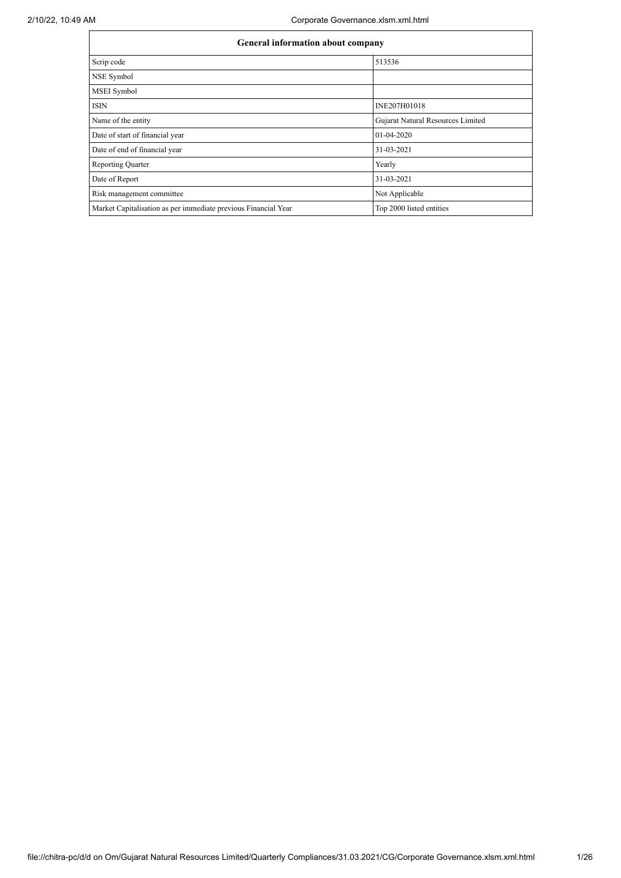| General information about company                              |                                   |  |  |  |  |  |
|----------------------------------------------------------------|-----------------------------------|--|--|--|--|--|
| Scrip code                                                     | 513536                            |  |  |  |  |  |
| NSE Symbol                                                     |                                   |  |  |  |  |  |
| MSEI Symbol                                                    |                                   |  |  |  |  |  |
| <b>ISIN</b>                                                    | INE207H01018                      |  |  |  |  |  |
| Name of the entity                                             | Gujarat Natural Resources Limited |  |  |  |  |  |
| Date of start of financial year                                | 01-04-2020                        |  |  |  |  |  |
| Date of end of financial year                                  | 31-03-2021                        |  |  |  |  |  |
| <b>Reporting Quarter</b>                                       | Yearly                            |  |  |  |  |  |
| Date of Report                                                 | 31-03-2021                        |  |  |  |  |  |
| Risk management committee                                      | Not Applicable                    |  |  |  |  |  |
| Market Capitalisation as per immediate previous Financial Year | Top 2000 listed entities          |  |  |  |  |  |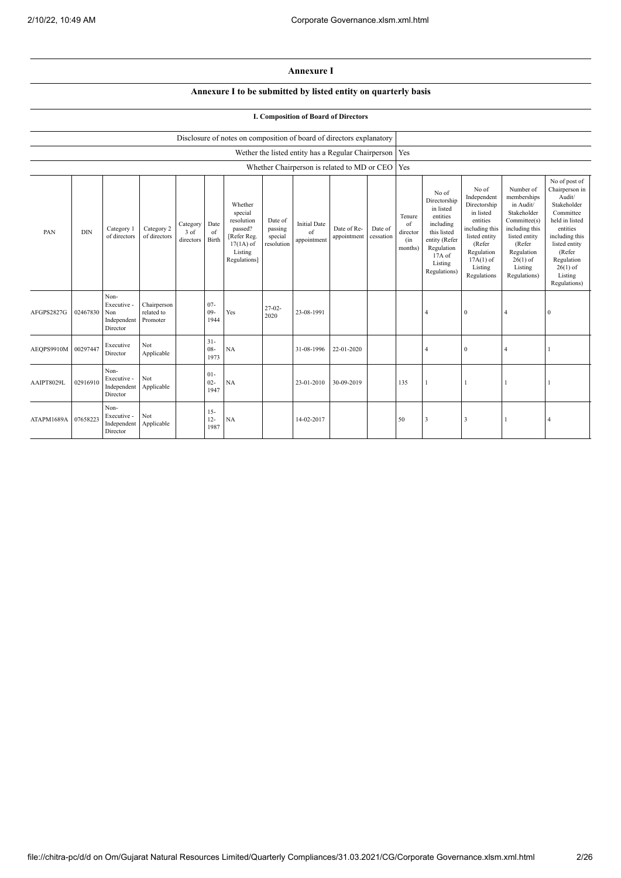## **Annexure I**

## **Annexure I to be submitted by listed entity on quarterly basis**

## **I. Composition of Board of Directors**

|                     |            |                                                       |                                       |                               |                          | Disclosure of notes on composition of board of directors explanatory                                 |                                             |                                          |                                                    |                      |                                            |                                                                                                                                                |                                                                                                                                                                   |                                                                                                                                                                          |                                                                                                                                                                                                         |
|---------------------|------------|-------------------------------------------------------|---------------------------------------|-------------------------------|--------------------------|------------------------------------------------------------------------------------------------------|---------------------------------------------|------------------------------------------|----------------------------------------------------|----------------------|--------------------------------------------|------------------------------------------------------------------------------------------------------------------------------------------------|-------------------------------------------------------------------------------------------------------------------------------------------------------------------|--------------------------------------------------------------------------------------------------------------------------------------------------------------------------|---------------------------------------------------------------------------------------------------------------------------------------------------------------------------------------------------------|
|                     |            |                                                       |                                       |                               |                          |                                                                                                      |                                             |                                          | Wether the listed entity has a Regular Chairperson |                      | Yes                                        |                                                                                                                                                |                                                                                                                                                                   |                                                                                                                                                                          |                                                                                                                                                                                                         |
|                     |            |                                                       |                                       |                               |                          |                                                                                                      |                                             |                                          | Whether Chairperson is related to MD or CEO        |                      | Yes                                        |                                                                                                                                                |                                                                                                                                                                   |                                                                                                                                                                          |                                                                                                                                                                                                         |
| PAN                 | <b>DIN</b> | Category 1<br>of directors                            | Category 2<br>of directors            | Category<br>3 of<br>directors | Date<br>of<br>Birth      | Whether<br>special<br>resolution<br>passed?<br>[Refer Reg.<br>$17(1A)$ of<br>Listing<br>Regulations] | Date of<br>passing<br>special<br>resolution | <b>Initial Date</b><br>of<br>appointment | Date of Re-<br>appointment                         | Date of<br>cessation | Tenure<br>of<br>director<br>(in<br>months) | No of<br>Directorship<br>in listed<br>entities<br>including<br>this listed<br>entity (Refer<br>Regulation<br>17A of<br>Listing<br>Regulations) | No of<br>Independent<br>Directorship<br>in listed<br>entities<br>including this<br>listed entity<br>(Refer<br>Regulation<br>$17A(1)$ of<br>Listing<br>Regulations | Number of<br>memberships<br>in Audit/<br>Stakeholder<br>Committee(s)<br>including this<br>listed entity<br>(Refer<br>Regulation<br>$26(1)$ of<br>Listing<br>Regulations) | No of post of<br>Chairperson in<br>Audit/<br>Stakeholder<br>Committee<br>held in listed<br>entities<br>including this<br>listed entity<br>(Refer<br>Regulation<br>$26(1)$ of<br>Listing<br>Regulations) |
| AFGPS2827G          | 02467830   | Non-<br>Executive -<br>Non<br>Independent<br>Director | Chairperson<br>related to<br>Promoter |                               | $07 -$<br>$09 -$<br>1944 | Yes                                                                                                  | $27-02-$<br>2020                            | 23-08-1991                               |                                                    |                      |                                            | $\overline{4}$                                                                                                                                 | $\mathbf{0}$                                                                                                                                                      | $\overline{A}$                                                                                                                                                           | $\Omega$                                                                                                                                                                                                |
| AEOPS9910M 00297447 |            | Executive<br>Director                                 | Not<br>Applicable                     |                               | $31 -$<br>$08 -$<br>1973 | NA                                                                                                   |                                             | 31-08-1996                               | 22-01-2020                                         |                      |                                            |                                                                                                                                                | $\mathbf{0}$                                                                                                                                                      | $\overline{4}$                                                                                                                                                           |                                                                                                                                                                                                         |
| AAIPT8029L          | 02916910   | Non-<br>Executive -<br>Independent<br>Director        | Not<br>Applicable                     |                               | $01 -$<br>$02 -$<br>1947 | NA                                                                                                   |                                             | 23-01-2010                               | 30-09-2019                                         |                      | 135                                        |                                                                                                                                                |                                                                                                                                                                   |                                                                                                                                                                          |                                                                                                                                                                                                         |
| ATAPM1689A          | 07658223   | Non-<br>Executive -<br>Independent<br>Director        | Not<br>Applicable                     |                               | $15 -$<br>$12 -$<br>1987 | NA                                                                                                   |                                             | 14-02-2017                               |                                                    |                      | 50                                         | $\overline{\mathbf{3}}$                                                                                                                        | 3                                                                                                                                                                 |                                                                                                                                                                          | $\overline{4}$                                                                                                                                                                                          |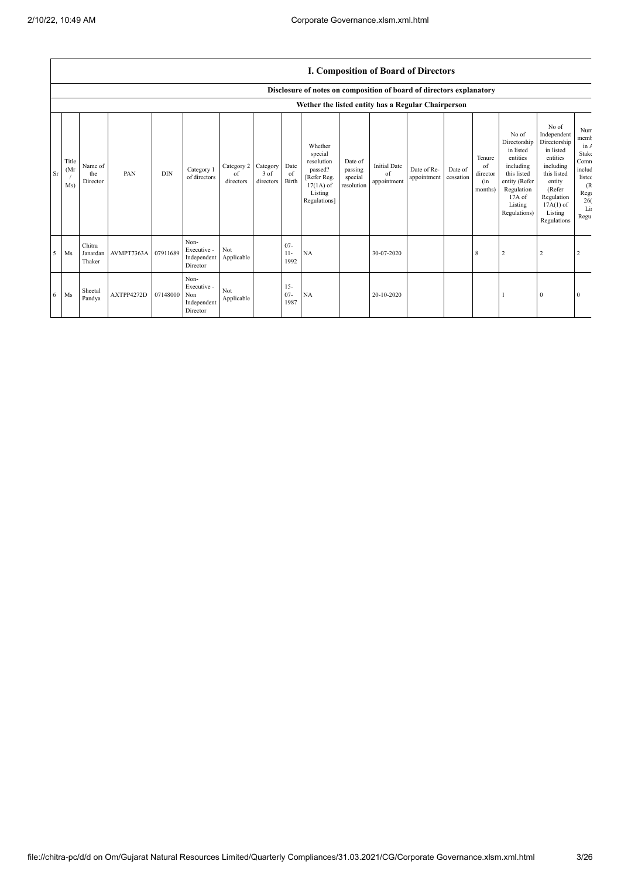|    |                      | <b>I. Composition of Board of Directors</b> |            |            |                                                       |                               |                               |                          |                                                                                                      |                                             |                                          |                            |                      |                                            |                                                                                                                                                |                                                                                                                                                                      |                                                                                               |
|----|----------------------|---------------------------------------------|------------|------------|-------------------------------------------------------|-------------------------------|-------------------------------|--------------------------|------------------------------------------------------------------------------------------------------|---------------------------------------------|------------------------------------------|----------------------------|----------------------|--------------------------------------------|------------------------------------------------------------------------------------------------------------------------------------------------|----------------------------------------------------------------------------------------------------------------------------------------------------------------------|-----------------------------------------------------------------------------------------------|
|    |                      |                                             |            |            |                                                       |                               |                               |                          | Disclosure of notes on composition of board of directors explanatory                                 |                                             |                                          |                            |                      |                                            |                                                                                                                                                |                                                                                                                                                                      |                                                                                               |
|    |                      |                                             |            |            |                                                       |                               |                               |                          | Wether the listed entity has a Regular Chairperson                                                   |                                             |                                          |                            |                      |                                            |                                                                                                                                                |                                                                                                                                                                      |                                                                                               |
| Sr | Title<br>(Mr)<br>Ms) | Name of<br>the<br>Director                  | PAN        | <b>DIN</b> | Category 1<br>of directors                            | Category 2<br>of<br>directors | Category<br>3 of<br>directors | Date<br>of<br>Birth      | Whether<br>special<br>resolution<br>passed?<br>[Refer Reg.<br>$17(1A)$ of<br>Listing<br>Regulations] | Date of<br>passing<br>special<br>resolution | <b>Initial Date</b><br>of<br>appointment | Date of Re-<br>appointment | Date of<br>cessation | Tenure<br>of<br>director<br>(in<br>months) | No of<br>Directorship<br>in listed<br>entities<br>including<br>this listed<br>entity (Refer<br>Regulation<br>17A of<br>Listing<br>Regulations) | No of<br>Independent<br>Directorship<br>in listed<br>entities<br>including<br>this listed<br>entity<br>(Refer<br>Regulation<br>$17A(1)$ of<br>Listing<br>Regulations | Nun<br>memb<br>in /<br>Stake<br>Comn<br>includ<br>listec<br>(R)<br>Regi<br>26(<br>Li:<br>Regu |
| 5  | Ms                   | Chitra<br>Janardan<br>Thaker                | AVMPT7363A | 07911689   | Non-<br>Executive -<br>Independent<br>Director        | Not<br>Applicable             |                               | $07 -$<br>$11 -$<br>1992 | NA                                                                                                   |                                             | 30-07-2020                               |                            |                      | 8                                          | $\overline{2}$                                                                                                                                 | 2                                                                                                                                                                    |                                                                                               |
| 6  | Ms                   | Sheetal<br>Pandya                           | AXTPP4272D | 07148000   | Non-<br>Executive -<br>Non<br>Independent<br>Director | Not<br>Applicable             |                               | $15 -$<br>$07 -$<br>1987 | NA                                                                                                   |                                             | 20-10-2020                               |                            |                      |                                            |                                                                                                                                                | $\Omega$                                                                                                                                                             | $\theta$                                                                                      |

## **I. Composition of Board of Directors**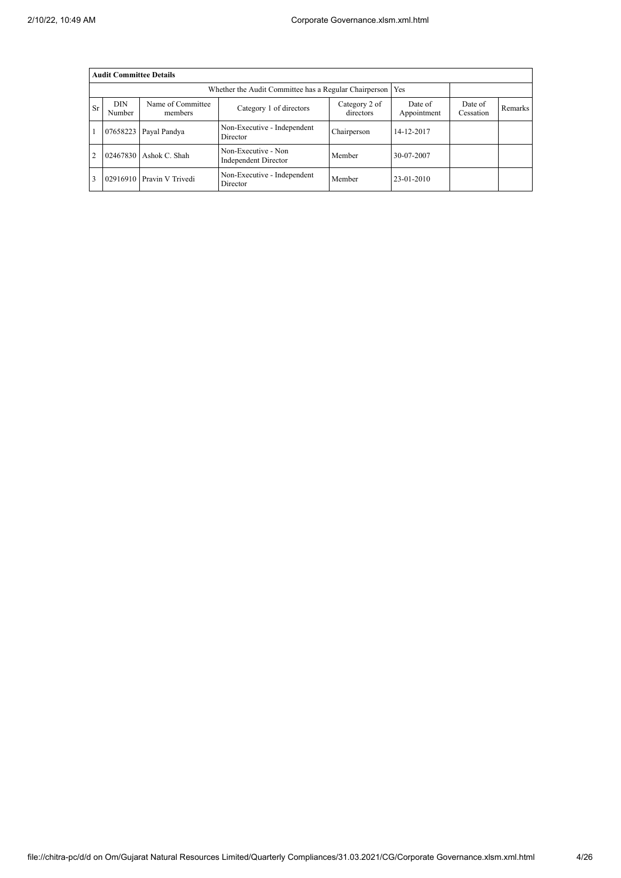|                | <b>Audit Committee Details</b> |                              |                                                       |                            |                        |                      |         |  |  |  |
|----------------|--------------------------------|------------------------------|-------------------------------------------------------|----------------------------|------------------------|----------------------|---------|--|--|--|
|                |                                |                              | Whether the Audit Committee has a Regular Chairperson |                            | Yes                    |                      |         |  |  |  |
| <b>Sr</b>      | <b>DIN</b><br>Number           | Name of Committee<br>members | Category 1 of directors                               | Category 2 of<br>directors | Date of<br>Appointment | Date of<br>Cessation | Remarks |  |  |  |
|                | 07658223                       | Payal Pandya                 | Non-Executive - Independent<br>Director               | Chairperson                | 14-12-2017             |                      |         |  |  |  |
| $\overline{2}$ | 02467830                       | Ashok C. Shah                | Non-Executive - Non<br>Independent Director           | Member                     | 30-07-2007             |                      |         |  |  |  |
|                | 02916910                       | Pravin V Trivedi             | Non-Executive - Independent<br>Director               | Member                     | 23-01-2010             |                      |         |  |  |  |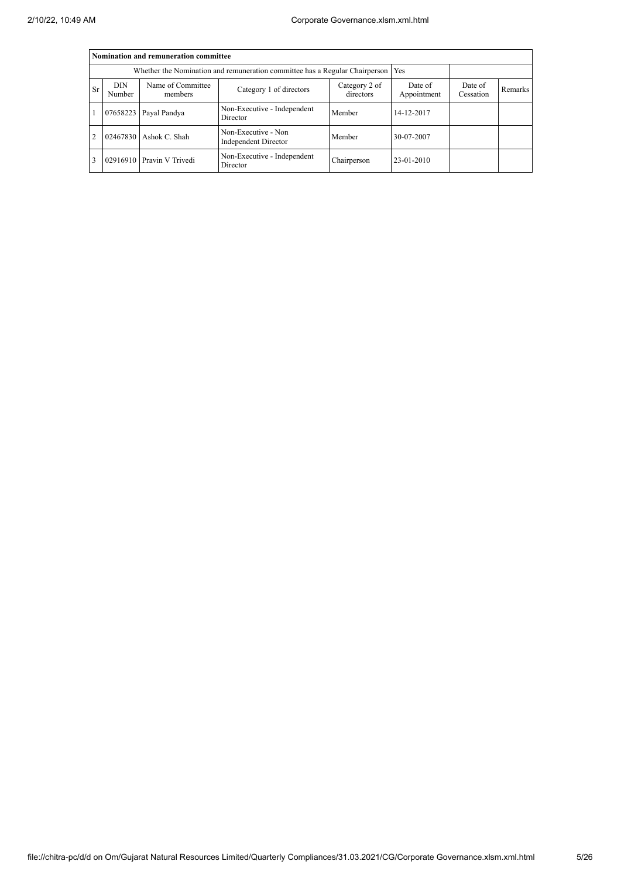|                | Nomination and remuneration committee |                              |                                                                             |                        |                      |         |  |  |  |  |  |
|----------------|---------------------------------------|------------------------------|-----------------------------------------------------------------------------|------------------------|----------------------|---------|--|--|--|--|--|
|                |                                       |                              | Whether the Nomination and remuneration committee has a Regular Chairperson |                        | Yes                  |         |  |  |  |  |  |
| <b>Sr</b>      | DIN<br>Number                         | Name of Committee<br>members | Category 1 of directors                                                     | Date of<br>Appointment | Date of<br>Cessation | Remarks |  |  |  |  |  |
|                |                                       | 07658223 Payal Pandya        | Non-Executive - Independent<br>Director                                     | Member                 | 14-12-2017           |         |  |  |  |  |  |
| $\overline{2}$ |                                       | 02467830 Ashok C. Shah       | Non-Executive - Non<br>Independent Director                                 | Member                 | 30-07-2007           |         |  |  |  |  |  |
| 3              |                                       | 02916910 Pravin V Trivedi    | Non-Executive - Independent<br>Director                                     | Chairperson            | 23-01-2010           |         |  |  |  |  |  |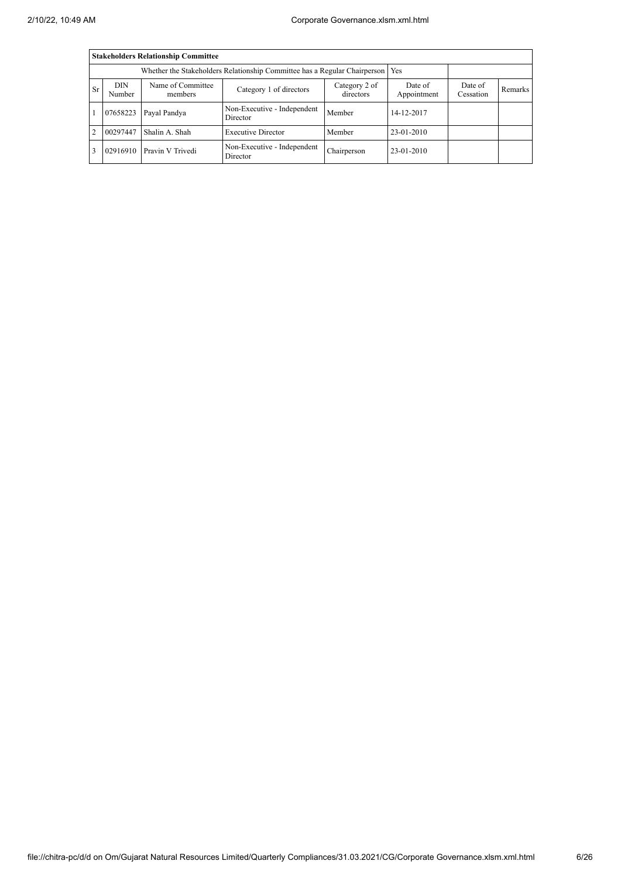|           | <b>Stakeholders Relationship Committee</b> |                              |                                                                                 |             |                        |                      |         |  |  |  |
|-----------|--------------------------------------------|------------------------------|---------------------------------------------------------------------------------|-------------|------------------------|----------------------|---------|--|--|--|
|           |                                            |                              | Whether the Stakeholders Relationship Committee has a Regular Chairperson   Yes |             |                        |                      |         |  |  |  |
| <b>Sr</b> | <b>DIN</b><br>Number                       | Name of Committee<br>members | Category 2 of<br>Category 1 of directors<br>directors                           |             | Date of<br>Appointment | Date of<br>Cessation | Remarks |  |  |  |
|           | 07658223                                   | Payal Pandya                 | Non-Executive - Independent<br>Director                                         | Member      | 14-12-2017             |                      |         |  |  |  |
| 2         | 00297447                                   | Shalin A. Shah               | <b>Executive Director</b>                                                       | Member      | 23-01-2010             |                      |         |  |  |  |
| 3         | 02916910                                   | Pravin V Trivedi             | Non-Executive - Independent<br>Director                                         | Chairperson | 23-01-2010             |                      |         |  |  |  |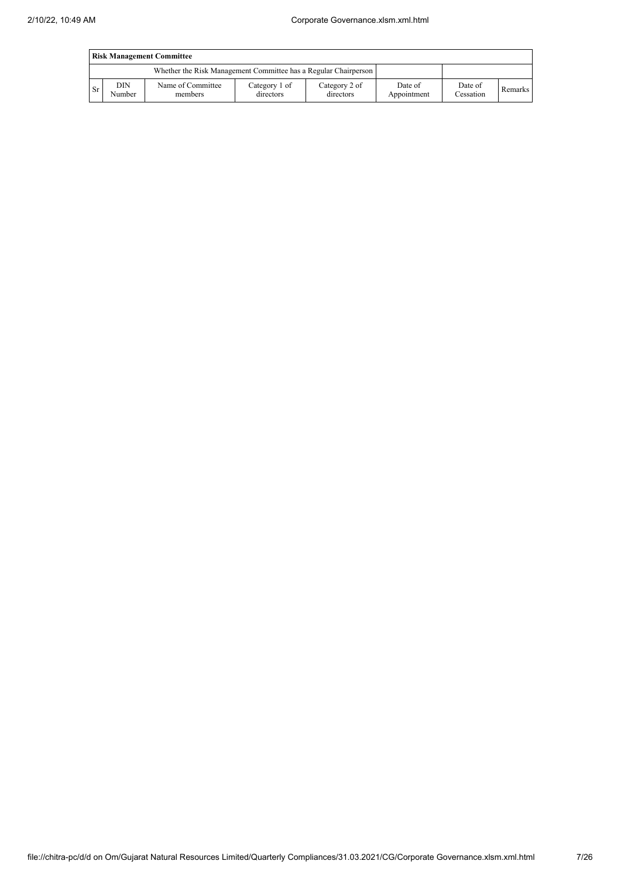|      | <b>Risk Management Committee</b> |                                                                 |                            |                            |                        |                      |         |  |
|------|----------------------------------|-----------------------------------------------------------------|----------------------------|----------------------------|------------------------|----------------------|---------|--|
|      |                                  | Whether the Risk Management Committee has a Regular Chairperson |                            |                            |                        |                      |         |  |
| l Sr | DIN<br>Number                    | Name of Committee<br>members                                    | Category 1 of<br>directors | Category 2 of<br>directors | Date of<br>Appointment | Date of<br>Cessation | Remarks |  |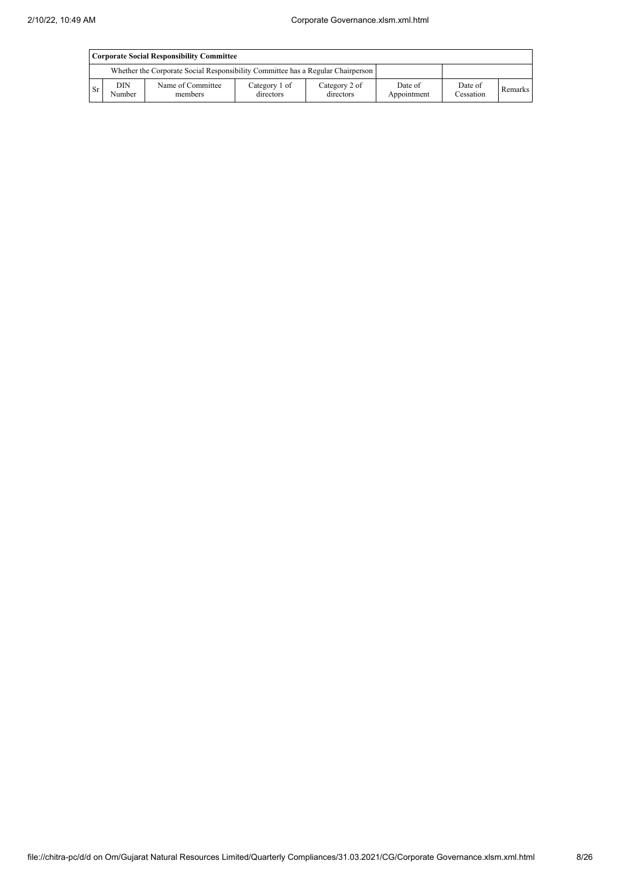|           | Corporate Social Responsibility Committee |                                                                                 |                            |                            |                        |                      |         |  |
|-----------|-------------------------------------------|---------------------------------------------------------------------------------|----------------------------|----------------------------|------------------------|----------------------|---------|--|
|           |                                           | Whether the Corporate Social Responsibility Committee has a Regular Chairperson |                            |                            |                        |                      |         |  |
| <b>Sr</b> | DIN.<br>Number                            | Name of Committee<br>members                                                    | Category 1 of<br>directors | Category 2 of<br>directors | Date of<br>Appointment | Date of<br>Cessation | Remarks |  |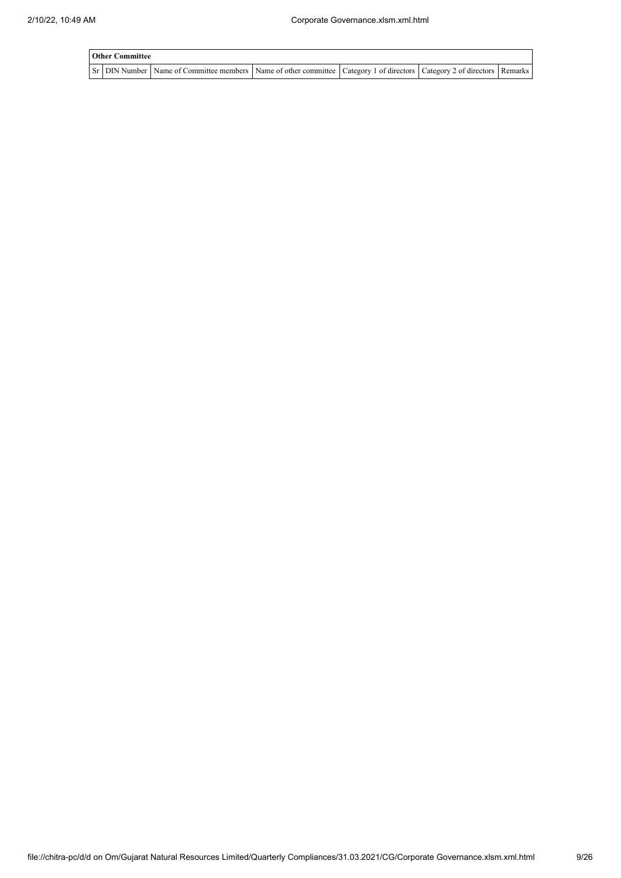| <b>Other Committee</b> |                                                                                                                                     |  |  |
|------------------------|-------------------------------------------------------------------------------------------------------------------------------------|--|--|
|                        | Sr   DIN Number   Name of Committee members   Name of other committee   Category 1 of directors   Category 2 of directors   Remarks |  |  |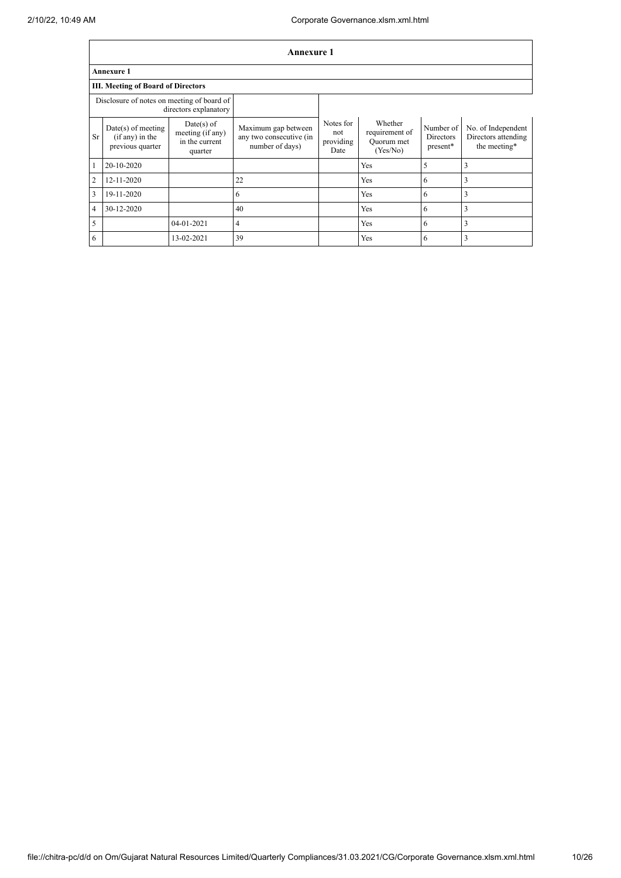|                | Annexure 1                                                    |                                                               |                                                                   |                                       |                                                     |                                    |                                                           |  |  |
|----------------|---------------------------------------------------------------|---------------------------------------------------------------|-------------------------------------------------------------------|---------------------------------------|-----------------------------------------------------|------------------------------------|-----------------------------------------------------------|--|--|
|                | <b>Annexure 1</b>                                             |                                                               |                                                                   |                                       |                                                     |                                    |                                                           |  |  |
|                | <b>III. Meeting of Board of Directors</b>                     |                                                               |                                                                   |                                       |                                                     |                                    |                                                           |  |  |
|                | Disclosure of notes on meeting of board of                    | directors explanatory                                         |                                                                   |                                       |                                                     |                                    |                                                           |  |  |
| <b>Sr</b>      | $Date(s)$ of meeting<br>$(if any)$ in the<br>previous quarter | $Date(s)$ of<br>meeting (if any)<br>in the current<br>quarter | Maximum gap between<br>any two consecutive (in<br>number of days) | Notes for<br>not<br>providing<br>Date | Whether<br>requirement of<br>Ouorum met<br>(Yes/No) | Number of<br>Directors<br>present* | No. of Independent<br>Directors attending<br>the meeting* |  |  |
|                | 20-10-2020                                                    |                                                               |                                                                   |                                       | Yes                                                 | 5                                  | 3                                                         |  |  |
| 2              | 12-11-2020                                                    |                                                               | 22                                                                |                                       | Yes                                                 | 6                                  | 3                                                         |  |  |
| 3              | 19-11-2020                                                    |                                                               | 6                                                                 |                                       | Yes                                                 | 6                                  | 3                                                         |  |  |
| $\overline{4}$ | 30-12-2020                                                    |                                                               | 40                                                                |                                       | Yes                                                 | 6                                  | 3                                                         |  |  |
| 5              |                                                               | 04-01-2021                                                    | 4                                                                 |                                       | Yes                                                 | 6                                  | 3                                                         |  |  |
| 6              |                                                               | 13-02-2021                                                    | 39                                                                |                                       | Yes                                                 | 6                                  | 3                                                         |  |  |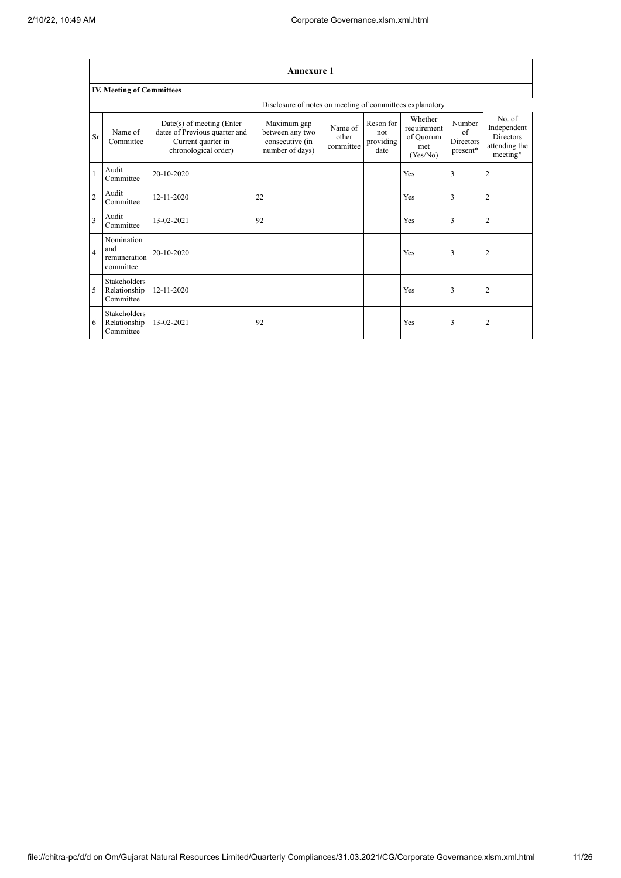$\overline{1}$ 

┑

|                | <b>Annexure 1</b>                                |                                                                                                          |                                                                      |                               |                                       |                                                        |                                       |                                                                        |  |
|----------------|--------------------------------------------------|----------------------------------------------------------------------------------------------------------|----------------------------------------------------------------------|-------------------------------|---------------------------------------|--------------------------------------------------------|---------------------------------------|------------------------------------------------------------------------|--|
|                | <b>IV. Meeting of Committees</b>                 |                                                                                                          |                                                                      |                               |                                       |                                                        |                                       |                                                                        |  |
|                |                                                  |                                                                                                          | Disclosure of notes on meeting of committees explanatory             |                               |                                       |                                                        |                                       |                                                                        |  |
| <b>Sr</b>      | Name of<br>Committee                             | Date(s) of meeting (Enter<br>dates of Previous quarter and<br>Current quarter in<br>chronological order) | Maximum gap<br>between any two<br>consecutive (in<br>number of days) | Name of<br>other<br>committee | Reson for<br>not<br>providing<br>date | Whether<br>requirement<br>of Quorum<br>met<br>(Yes/No) | Number<br>of<br>Directors<br>present* | No. of<br>Independent<br><b>Directors</b><br>attending the<br>meeting* |  |
|                | Audit<br>Committee                               | 20-10-2020                                                                                               |                                                                      |                               |                                       | Yes                                                    | 3                                     | $\overline{2}$                                                         |  |
| $\overline{2}$ | Audit<br>Committee                               | 12-11-2020                                                                                               | 22                                                                   |                               |                                       | Yes                                                    | 3                                     | $\overline{2}$                                                         |  |
| 3              | Audit<br>Committee                               | 13-02-2021                                                                                               | 92                                                                   |                               |                                       | Yes                                                    | 3                                     | $\overline{2}$                                                         |  |
| $\overline{4}$ | Nomination<br>and<br>remuneration<br>committee   | 20-10-2020                                                                                               |                                                                      |                               |                                       | Yes                                                    | 3                                     | $\overline{2}$                                                         |  |
| 5              | <b>Stakeholders</b><br>Relationship<br>Committee | 12-11-2020                                                                                               |                                                                      |                               |                                       | Yes                                                    | 3                                     | $\overline{2}$                                                         |  |
| 6              | <b>Stakeholders</b><br>Relationship<br>Committee | 13-02-2021                                                                                               | 92                                                                   |                               |                                       | Yes                                                    | 3                                     | $\overline{2}$                                                         |  |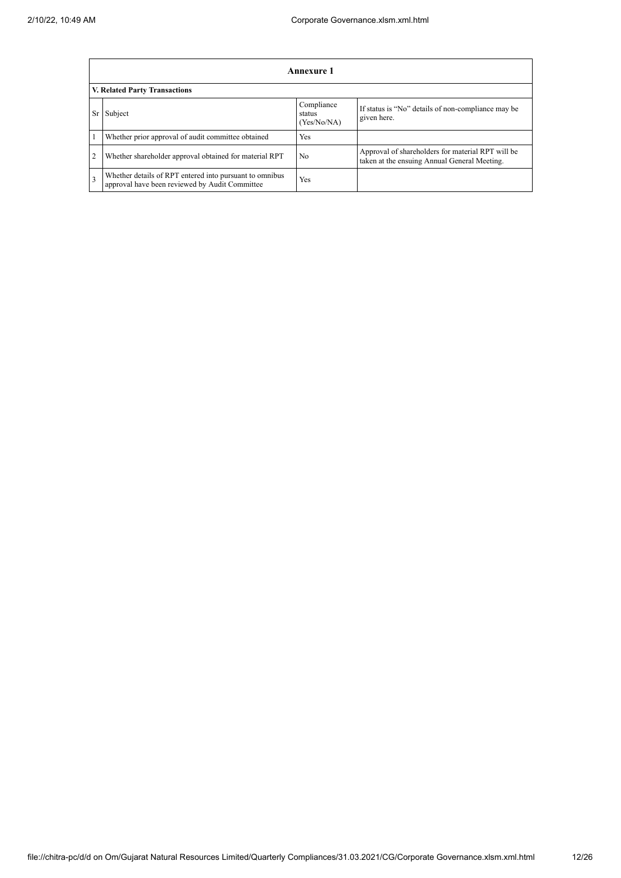|                | Annexure 1                                                                                                |                                     |                                                                                                   |  |  |  |  |  |
|----------------|-----------------------------------------------------------------------------------------------------------|-------------------------------------|---------------------------------------------------------------------------------------------------|--|--|--|--|--|
|                | <b>V. Related Party Transactions</b>                                                                      |                                     |                                                                                                   |  |  |  |  |  |
| Sr             | Subject                                                                                                   | Compliance<br>status<br>(Yes/No/NA) | If status is "No" details of non-compliance may be<br>given here.                                 |  |  |  |  |  |
|                | Whether prior approval of audit committee obtained                                                        | Yes                                 |                                                                                                   |  |  |  |  |  |
| $\overline{2}$ | Whether shareholder approval obtained for material RPT                                                    | N <sub>0</sub>                      | Approval of shareholders for material RPT will be<br>taken at the ensuing Annual General Meeting. |  |  |  |  |  |
| 3              | Whether details of RPT entered into pursuant to omnibus<br>approval have been reviewed by Audit Committee | Yes                                 |                                                                                                   |  |  |  |  |  |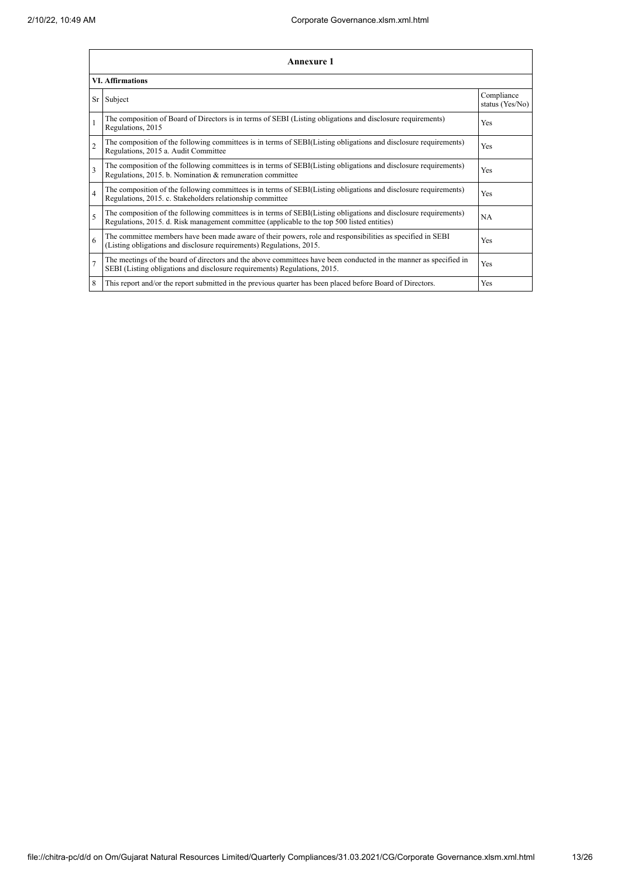|                | Annexure 1                                                                                                                                                                                                      |                               |  |  |
|----------------|-----------------------------------------------------------------------------------------------------------------------------------------------------------------------------------------------------------------|-------------------------------|--|--|
|                | <b>VI.</b> Affirmations                                                                                                                                                                                         |                               |  |  |
|                | Sr Subject                                                                                                                                                                                                      | Compliance<br>status (Yes/No) |  |  |
|                | The composition of Board of Directors is in terms of SEBI (Listing obligations and disclosure requirements)<br>Regulations, 2015                                                                                | Yes                           |  |  |
| $\overline{c}$ | The composition of the following committees is in terms of SEBI(Listing obligations and disclosure requirements)<br>Regulations, 2015 a. Audit Committee                                                        | <b>Yes</b>                    |  |  |
| $\mathbf{3}$   | The composition of the following committees is in terms of SEBI(Listing obligations and disclosure requirements)<br>Regulations, 2015. b. Nomination & remuneration committee                                   | <b>Yes</b>                    |  |  |
| $\overline{4}$ | The composition of the following committees is in terms of SEBI(Listing obligations and disclosure requirements)<br>Regulations, 2015. c. Stakeholders relationship committee                                   | <b>Yes</b>                    |  |  |
| $\varsigma$    | The composition of the following committees is in terms of SEBI(Listing obligations and disclosure requirements)<br>Regulations, 2015. d. Risk management committee (applicable to the top 500 listed entities) | <b>NA</b>                     |  |  |
| 6              | The committee members have been made aware of their powers, role and responsibilities as specified in SEBI<br>(Listing obligations and disclosure requirements) Regulations, 2015.                              | <b>Yes</b>                    |  |  |
| $\overline{7}$ | The meetings of the board of directors and the above committees have been conducted in the manner as specified in<br>SEBI (Listing obligations and disclosure requirements) Regulations, 2015.                  | Yes                           |  |  |
| 8              | This report and/or the report submitted in the previous quarter has been placed before Board of Directors.                                                                                                      | Yes                           |  |  |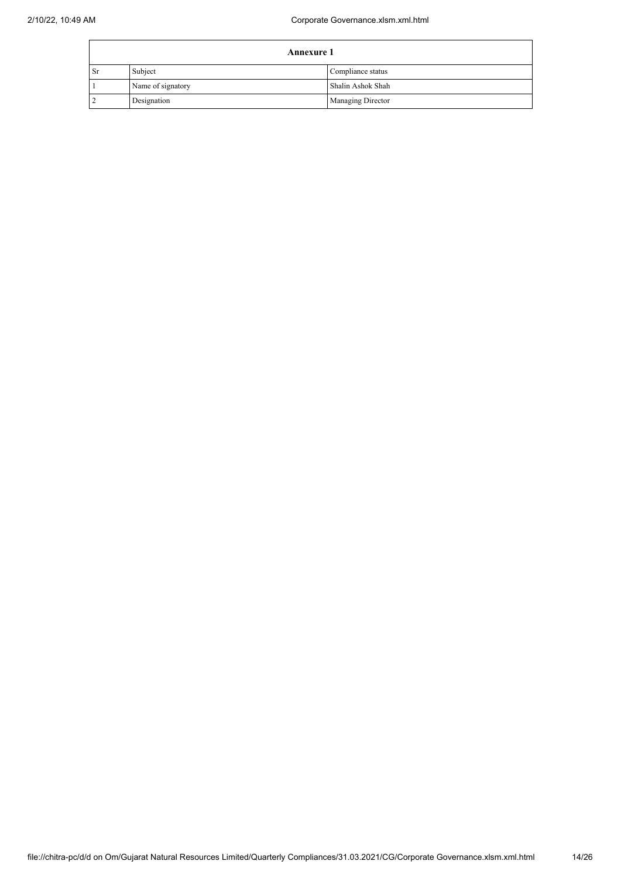|               | <b>Annexure 1</b> |                          |  |
|---------------|-------------------|--------------------------|--|
| <sup>Sr</sup> | Subject           | Compliance status        |  |
|               | Name of signatory | Shalin Ashok Shah        |  |
|               | Designation       | <b>Managing Director</b> |  |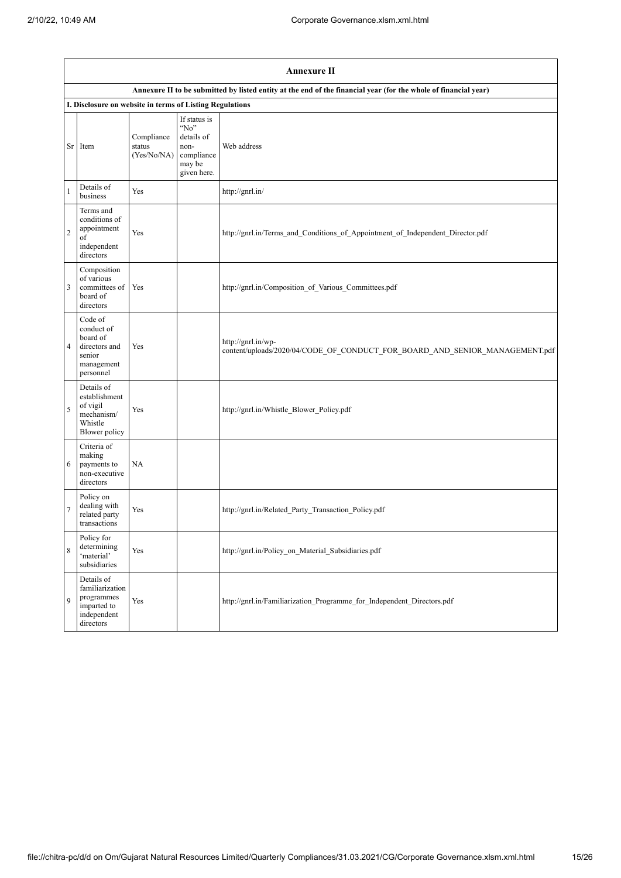|                | <b>Annexure II</b>                                                                      |                                     |                                                                                       |                                                                                                                 |
|----------------|-----------------------------------------------------------------------------------------|-------------------------------------|---------------------------------------------------------------------------------------|-----------------------------------------------------------------------------------------------------------------|
|                |                                                                                         |                                     |                                                                                       | Annexure II to be submitted by listed entity at the end of the financial year (for the whole of financial year) |
|                | I. Disclosure on website in terms of Listing Regulations                                |                                     |                                                                                       |                                                                                                                 |
|                | Sr Item                                                                                 | Compliance<br>status<br>(Yes/No/NA) | If status is<br>" $No$ "<br>details of<br>non-<br>compliance<br>may be<br>given here. | Web address                                                                                                     |
| 1              | Details of<br>business                                                                  | Yes                                 |                                                                                       | http://gnrl.in/                                                                                                 |
| $\overline{c}$ | Terms and<br>conditions of<br>appointment<br>of<br>independent<br>directors             | Yes                                 |                                                                                       | http://gnrl.in/Terms and Conditions of Appointment of Independent Director.pdf                                  |
| 3              | Composition<br>of various<br>committees of<br>board of<br>directors                     | Yes                                 |                                                                                       | http://gnrl.in/Composition of Various Committees.pdf                                                            |
| $\overline{4}$ | Code of<br>conduct of<br>board of<br>directors and<br>senior<br>management<br>personnel | Yes                                 |                                                                                       | http://gnrl.in/wp-<br>content/uploads/2020/04/CODE_OF_CONDUCT_FOR_BOARD_AND_SENIOR_MANAGEMENT.pdf               |
| 5              | Details of<br>establishment<br>of vigil<br>mechanism/<br>Whistle<br>Blower policy       | Yes                                 |                                                                                       | http://gnrl.in/Whistle_Blower_Policy.pdf                                                                        |
| 6              | Criteria of<br>making<br>payments to<br>non-executive<br>directors                      | <b>NA</b>                           |                                                                                       |                                                                                                                 |
| 7              | Policy on<br>dealing with<br>related party<br>transactions                              | Yes                                 |                                                                                       | http://gnrl.in/Related Party Transaction Policy.pdf                                                             |
| 8              | Policy for<br>determining<br>'material'<br>subsidiaries                                 | Yes                                 |                                                                                       | http://gnrl.in/Policy_on_Material_Subsidiaries.pdf                                                              |
| 9              | Details of<br>familiarization<br>programmes<br>imparted to<br>independent<br>directors  | Yes                                 |                                                                                       | http://gnrl.in/Familiarization Programme for Independent Directors.pdf                                          |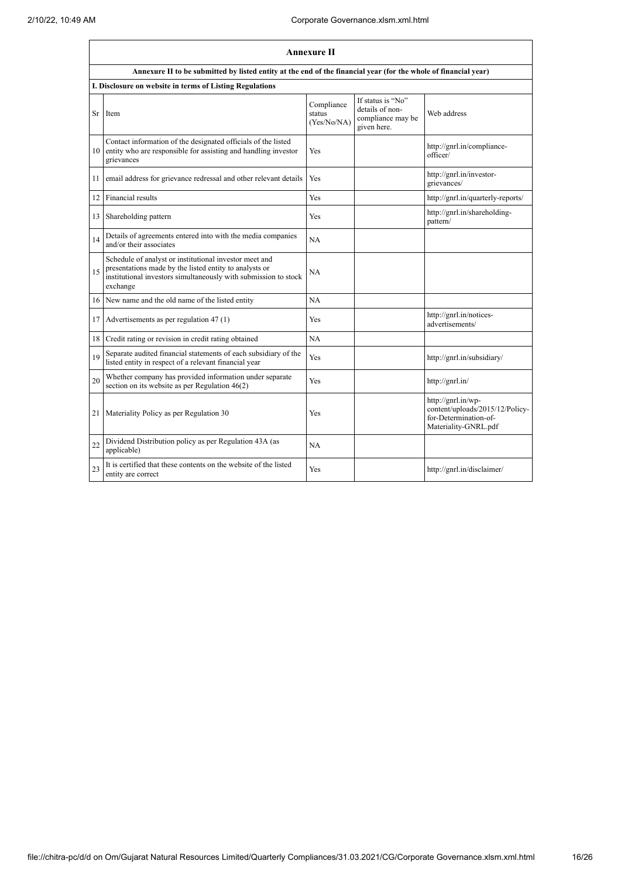|    | <b>Annexure II</b>                                                                                                                                                                              |                                     |                                                                          |                                                                                                        |
|----|-------------------------------------------------------------------------------------------------------------------------------------------------------------------------------------------------|-------------------------------------|--------------------------------------------------------------------------|--------------------------------------------------------------------------------------------------------|
|    | Annexure II to be submitted by listed entity at the end of the financial year (for the whole of financial year)                                                                                 |                                     |                                                                          |                                                                                                        |
|    | I. Disclosure on website in terms of Listing Regulations                                                                                                                                        |                                     |                                                                          |                                                                                                        |
| Sr | Item                                                                                                                                                                                            | Compliance<br>status<br>(Yes/No/NA) | If status is "No"<br>details of non-<br>compliance may be<br>given here. | Web address                                                                                            |
|    | Contact information of the designated officials of the listed<br>10 entity who are responsible for assisting and handling investor<br>grievances                                                | Yes                                 |                                                                          | http://gnrl.in/compliance-<br>officer/                                                                 |
| 11 | email address for grievance redressal and other relevant details                                                                                                                                | Yes                                 |                                                                          | http://gnrl.in/investor-<br>grievances/                                                                |
| 12 | Financial results                                                                                                                                                                               | <b>Yes</b>                          |                                                                          | http://gnrl.in/quarterly-reports/                                                                      |
| 13 | Shareholding pattern                                                                                                                                                                            | Yes                                 |                                                                          | http://gnrl.in/shareholding-<br>pattern/                                                               |
| 14 | Details of agreements entered into with the media companies<br>and/or their associates                                                                                                          | NA                                  |                                                                          |                                                                                                        |
| 15 | Schedule of analyst or institutional investor meet and<br>presentations made by the listed entity to analysts or<br>institutional investors simultaneously with submission to stock<br>exchange | <b>NA</b>                           |                                                                          |                                                                                                        |
| 16 | New name and the old name of the listed entity                                                                                                                                                  | NA                                  |                                                                          |                                                                                                        |
| 17 | Advertisements as per regulation 47 (1)                                                                                                                                                         | Yes                                 |                                                                          | http://gnrl.in/notices-<br>advertisements/                                                             |
|    | 18 Credit rating or revision in credit rating obtained                                                                                                                                          | NA                                  |                                                                          |                                                                                                        |
| 19 | Separate audited financial statements of each subsidiary of the<br>listed entity in respect of a relevant financial year                                                                        | Yes                                 |                                                                          | http://gnrl.in/subsidiary/                                                                             |
| 20 | Whether company has provided information under separate<br>section on its website as per Regulation 46(2)                                                                                       | Yes                                 |                                                                          | http://gnrl.in/                                                                                        |
| 21 | Materiality Policy as per Regulation 30                                                                                                                                                         | Yes                                 |                                                                          | http://gnrl.in/wp-<br>content/uploads/2015/12/Policy-<br>for-Determination-of-<br>Materiality-GNRL.pdf |
| 22 | Dividend Distribution policy as per Regulation 43A (as<br>applicable)                                                                                                                           | NA                                  |                                                                          |                                                                                                        |
| 23 | It is certified that these contents on the website of the listed<br>entity are correct                                                                                                          | Yes                                 |                                                                          | http://gnrl.in/disclaimer/                                                                             |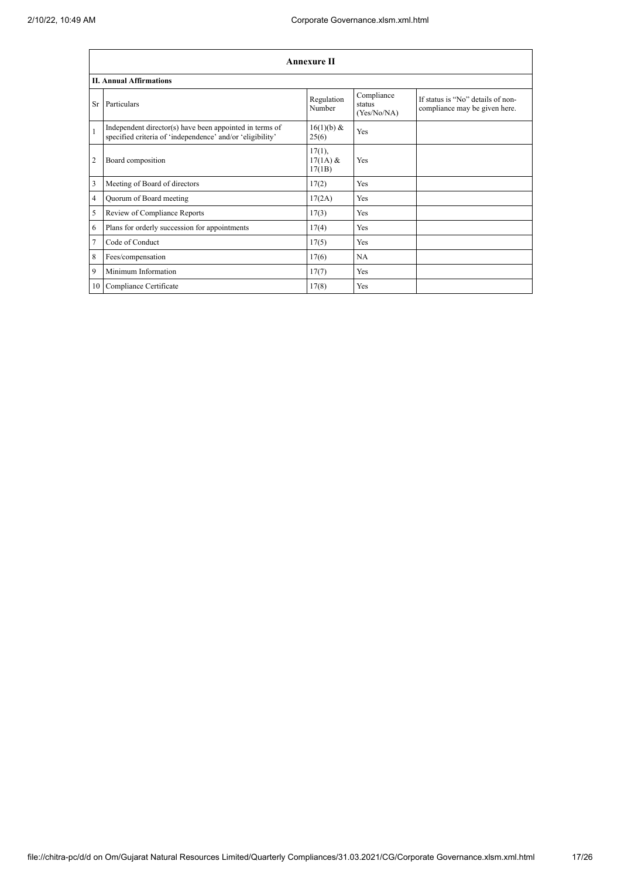|                 | <b>Annexure II</b>                                                                                                   |                                   |                                     |                                                                    |  |
|-----------------|----------------------------------------------------------------------------------------------------------------------|-----------------------------------|-------------------------------------|--------------------------------------------------------------------|--|
|                 | <b>II. Annual Affirmations</b>                                                                                       |                                   |                                     |                                                                    |  |
| Sr              | Particulars                                                                                                          | Regulation<br>Number              | Compliance<br>status<br>(Yes/No/NA) | If status is "No" details of non-<br>compliance may be given here. |  |
| $\mathbf{1}$    | Independent director(s) have been appointed in terms of<br>specified criteria of 'independence' and/or 'eligibility' | 16(1)(b) &<br>25(6)               | Yes                                 |                                                                    |  |
| 2               | Board composition                                                                                                    | $17(1)$ ,<br>$17(1A)$ &<br>17(1B) | Yes                                 |                                                                    |  |
| 3               | Meeting of Board of directors                                                                                        | 17(2)                             | Yes                                 |                                                                    |  |
| 4               | Quorum of Board meeting                                                                                              | 17(2A)                            | Yes                                 |                                                                    |  |
| 5               | Review of Compliance Reports                                                                                         | 17(3)                             | Yes                                 |                                                                    |  |
| 6               | Plans for orderly succession for appointments                                                                        | 17(4)                             | Yes                                 |                                                                    |  |
| 7               | Code of Conduct                                                                                                      | 17(5)                             | Yes                                 |                                                                    |  |
| 8               | Fees/compensation                                                                                                    | 17(6)                             | NA                                  |                                                                    |  |
| 9               | Minimum Information                                                                                                  | 17(7)                             | Yes                                 |                                                                    |  |
| 10 <sup>1</sup> | Compliance Certificate                                                                                               | 17(8)                             | Yes                                 |                                                                    |  |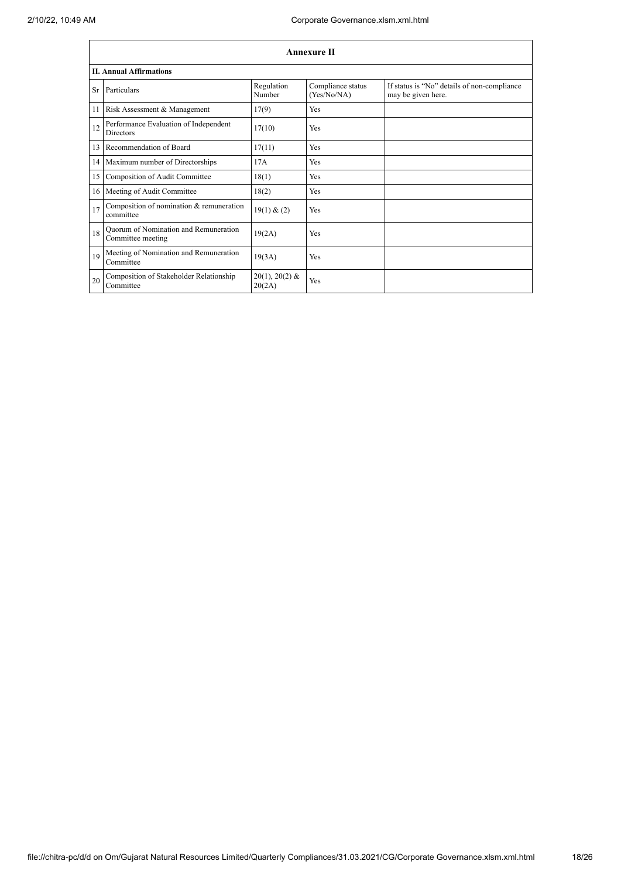|    | <b>Annexure II</b>                                         |                            |                                  |                                                                   |  |
|----|------------------------------------------------------------|----------------------------|----------------------------------|-------------------------------------------------------------------|--|
|    | <b>II. Annual Affirmations</b>                             |                            |                                  |                                                                   |  |
| Sr | Particulars                                                | Regulation<br>Number       | Compliance status<br>(Yes/No/NA) | If status is "No" details of non-compliance<br>may be given here. |  |
| 11 | Risk Assessment & Management                               | 17(9)                      | <b>Yes</b>                       |                                                                   |  |
| 12 | Performance Evaluation of Independent<br><b>Directors</b>  | 17(10)                     | <b>Yes</b>                       |                                                                   |  |
| 13 | Recommendation of Board                                    | 17(11)                     | Yes                              |                                                                   |  |
|    | 14 Maximum number of Directorships                         | 17A                        | Yes                              |                                                                   |  |
| 15 | Composition of Audit Committee                             | 18(1)                      | Yes                              |                                                                   |  |
|    | 16 Meeting of Audit Committee                              | 18(2)                      | Yes                              |                                                                   |  |
| 17 | Composition of nomination & remuneration<br>committee      | 19(1) & (2)                | Yes                              |                                                                   |  |
| 18 | Quorum of Nomination and Remuneration<br>Committee meeting | 19(2A)                     | Yes                              |                                                                   |  |
| 19 | Meeting of Nomination and Remuneration<br>Committee        | 19(3A)                     | Yes                              |                                                                   |  |
| 20 | Composition of Stakeholder Relationship<br>Committee       | $20(1), 20(2)$ &<br>20(2A) | Yes                              |                                                                   |  |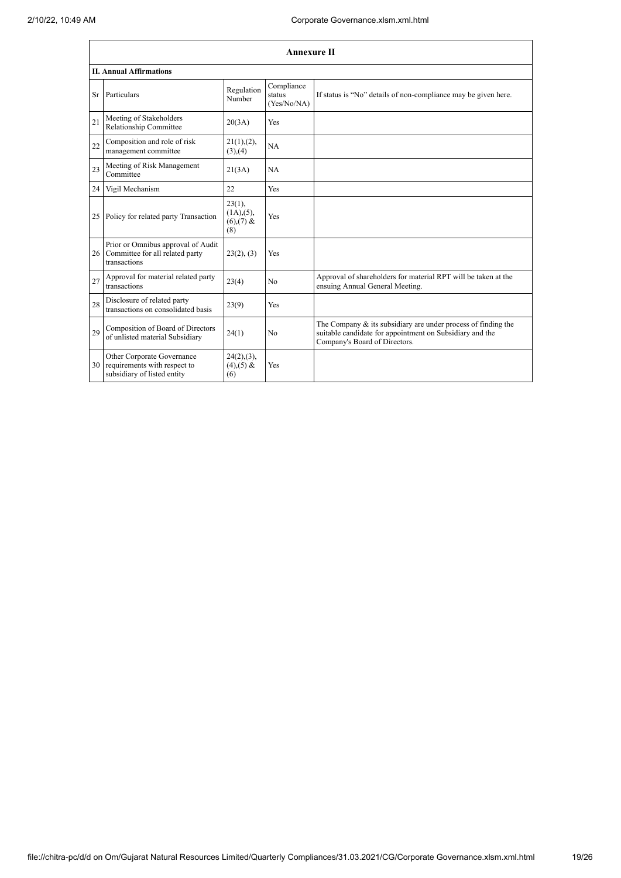|    | <b>Annexure II</b>                                                                        |                                                 |                                     |                                                                                                                                                               |  |  |
|----|-------------------------------------------------------------------------------------------|-------------------------------------------------|-------------------------------------|---------------------------------------------------------------------------------------------------------------------------------------------------------------|--|--|
|    | <b>II. Annual Affirmations</b>                                                            |                                                 |                                     |                                                                                                                                                               |  |  |
| Sr | Particulars                                                                               | Regulation<br>Number                            | Compliance<br>status<br>(Yes/No/NA) | If status is "No" details of non-compliance may be given here.                                                                                                |  |  |
| 21 | Meeting of Stakeholders<br>Relationship Committee                                         | 20(3A)                                          | Yes                                 |                                                                                                                                                               |  |  |
| 22 | Composition and role of risk<br>management committee                                      | 21(1), (2),<br>(3),(4)                          | NA                                  |                                                                                                                                                               |  |  |
| 23 | Meeting of Risk Management<br>Committee                                                   | 21(3A)                                          | <b>NA</b>                           |                                                                                                                                                               |  |  |
| 24 | Vigil Mechanism                                                                           | 22                                              | Yes                                 |                                                                                                                                                               |  |  |
| 25 | Policy for related party Transaction                                                      | 23(1),<br>$(1A)$ , $(5)$ ,<br>$(6)(7)$ &<br>(8) | Yes                                 |                                                                                                                                                               |  |  |
|    | Prior or Omnibus approval of Audit<br>26 Committee for all related party<br>transactions  | 23(2), (3)                                      | Yes                                 |                                                                                                                                                               |  |  |
| 27 | Approval for material related party<br>transactions                                       | 23(4)                                           | No                                  | Approval of shareholders for material RPT will be taken at the<br>ensuing Annual General Meeting.                                                             |  |  |
| 28 | Disclosure of related party<br>transactions on consolidated basis                         | 23(9)                                           | Yes                                 |                                                                                                                                                               |  |  |
| 29 | Composition of Board of Directors<br>of unlisted material Subsidiary                      | 24(1)                                           | No                                  | The Company $\&$ its subsidiary are under process of finding the<br>suitable candidate for appointment on Subsidiary and the<br>Company's Board of Directors. |  |  |
| 30 | Other Corporate Governance<br>requirements with respect to<br>subsidiary of listed entity | $24(2),(3)$ ,<br>$(4)$ , $(5)$ &<br>(6)         | Yes                                 |                                                                                                                                                               |  |  |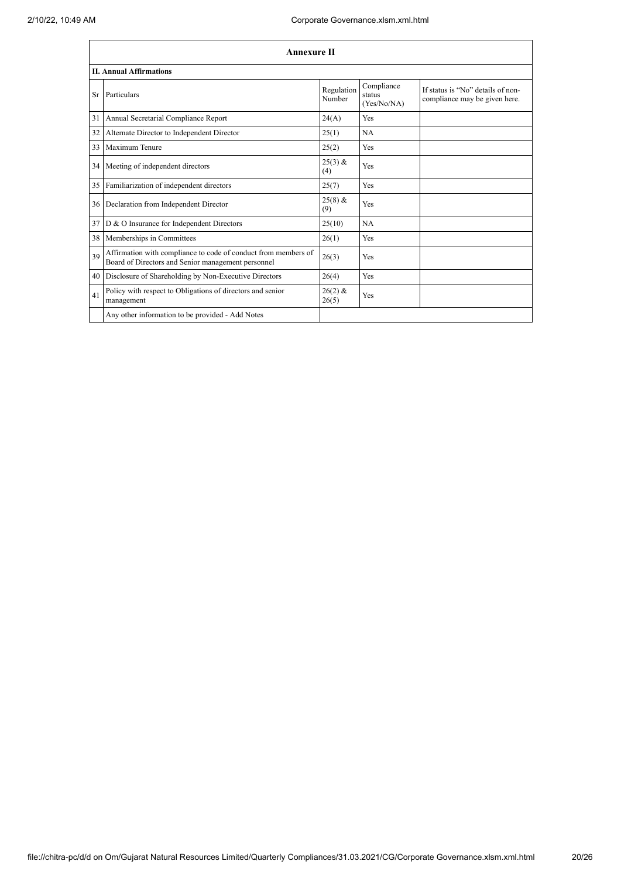|           | <b>Annexure II</b>                                                                                                   |                      |                                     |                                                                    |  |
|-----------|----------------------------------------------------------------------------------------------------------------------|----------------------|-------------------------------------|--------------------------------------------------------------------|--|
|           | <b>II. Annual Affirmations</b>                                                                                       |                      |                                     |                                                                    |  |
| <b>Sr</b> | Particulars                                                                                                          | Regulation<br>Number | Compliance<br>status<br>(Yes/No/NA) | If status is "No" details of non-<br>compliance may be given here. |  |
| 31        | Annual Secretarial Compliance Report                                                                                 | 24(A)                | Yes                                 |                                                                    |  |
| 32        | Alternate Director to Independent Director                                                                           | 25(1)                | <b>NA</b>                           |                                                                    |  |
| 33        | Maximum Tenure                                                                                                       | 25(2)                | Yes                                 |                                                                    |  |
| 34        | Meeting of independent directors                                                                                     | $25(3)$ &<br>(4)     | Yes                                 |                                                                    |  |
| 35        | Familiarization of independent directors                                                                             | 25(7)                | Yes                                 |                                                                    |  |
| 36        | Declaration from Independent Director                                                                                | $25(8)$ &<br>(9)     | Yes                                 |                                                                    |  |
| 37        | D & O Insurance for Independent Directors                                                                            | 25(10)               | NA                                  |                                                                    |  |
| 38        | Memberships in Committees                                                                                            | 26(1)                | Yes                                 |                                                                    |  |
| 39        | Affirmation with compliance to code of conduct from members of<br>Board of Directors and Senior management personnel | 26(3)                | Yes                                 |                                                                    |  |
| 40        | Disclosure of Shareholding by Non-Executive Directors                                                                | 26(4)                | Yes                                 |                                                                    |  |
| 41        | Policy with respect to Obligations of directors and senior<br>management                                             | $26(2)$ &<br>26(5)   | Yes                                 |                                                                    |  |
|           | Any other information to be provided - Add Notes                                                                     |                      |                                     |                                                                    |  |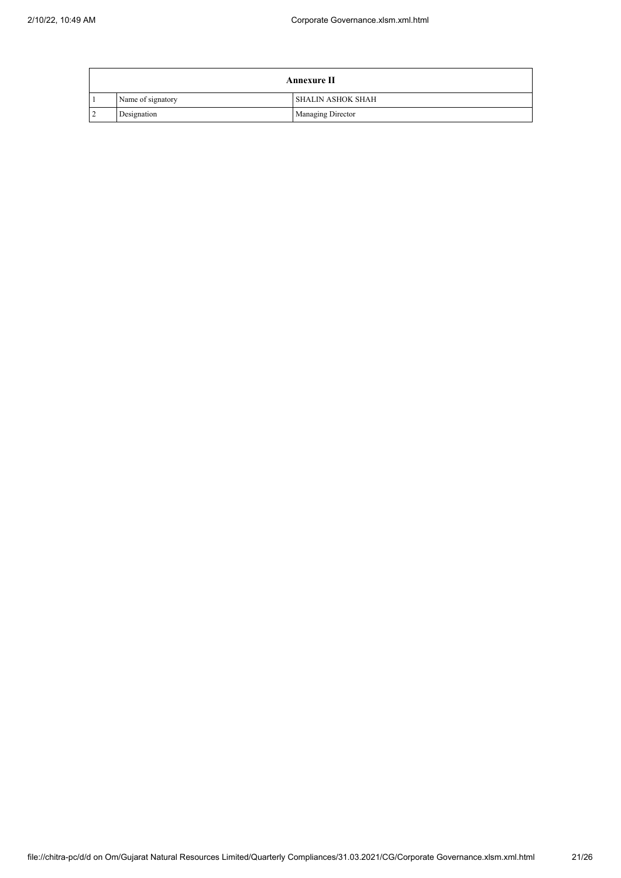|                | <b>Annexure II</b> |                          |  |
|----------------|--------------------|--------------------------|--|
|                | Name of signatory  | I SHALIN ASHOK SHAH      |  |
| $\overline{2}$ | Designation        | <b>Managing Director</b> |  |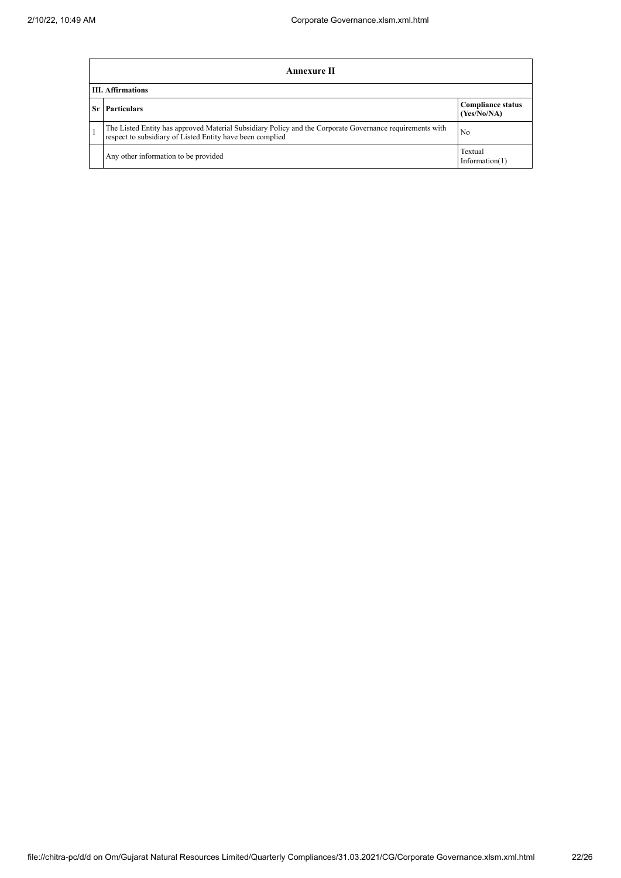|     | Annexure II                                                                                                                                                           |                                         |  |  |  |
|-----|-----------------------------------------------------------------------------------------------------------------------------------------------------------------------|-----------------------------------------|--|--|--|
|     | <b>III. Affirmations</b>                                                                                                                                              |                                         |  |  |  |
| -Sr | <b>Particulars</b>                                                                                                                                                    | <b>Compliance status</b><br>(Yes/No/NA) |  |  |  |
|     | The Listed Entity has approved Material Subsidiary Policy and the Corporate Governance requirements with<br>respect to subsidiary of Listed Entity have been complied | No                                      |  |  |  |
|     | Any other information to be provided                                                                                                                                  | Textual<br>Information $(1)$            |  |  |  |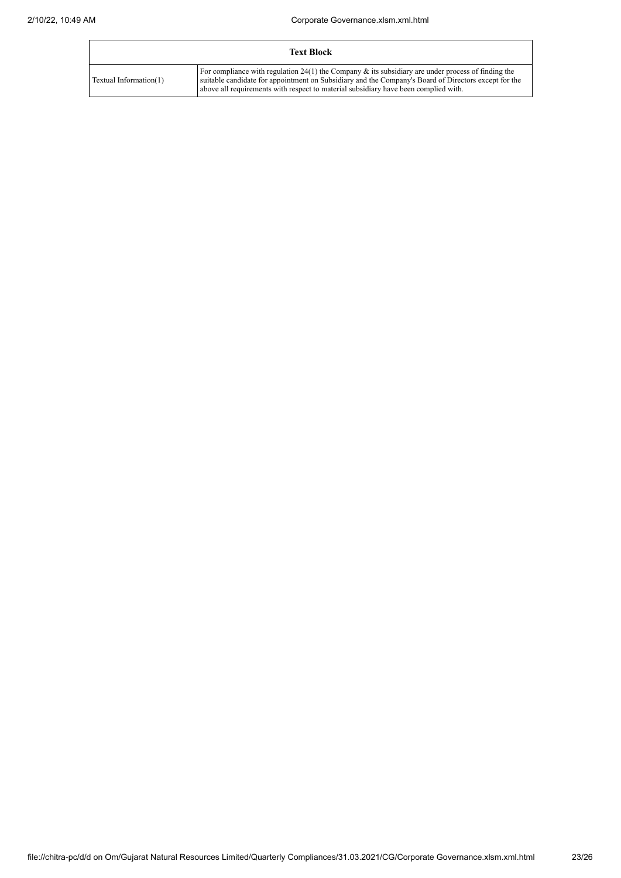|                        | Text Block                                                                                                                                                                                                                                                                                           |
|------------------------|------------------------------------------------------------------------------------------------------------------------------------------------------------------------------------------------------------------------------------------------------------------------------------------------------|
| Textual Information(1) | For compliance with regulation 24(1) the Company $\&$ its subsidiary are under process of finding the<br>suitable candidate for appointment on Subsidiary and the Company's Board of Directors except for the<br>above all requirements with respect to material subsidiary have been complied with. |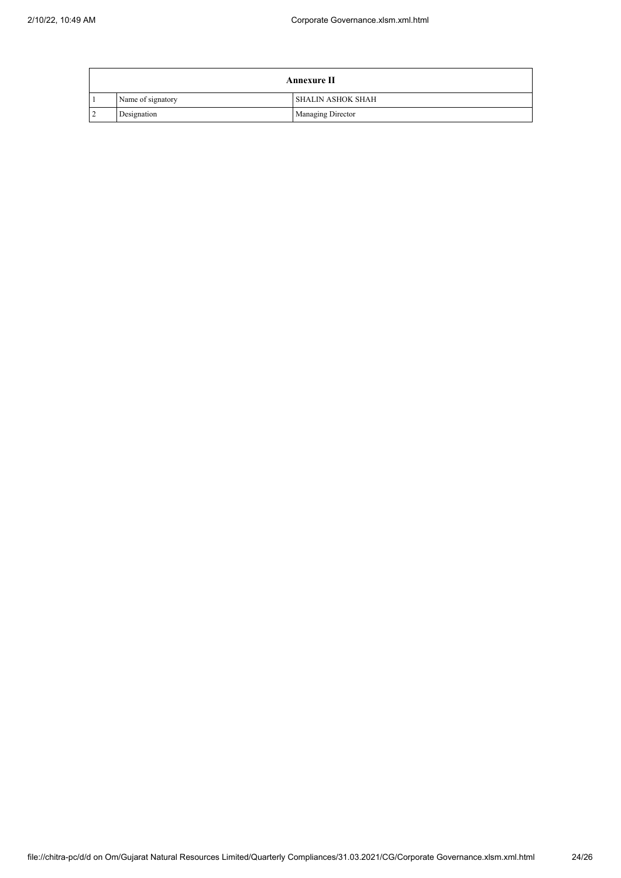|                | <b>Annexure II</b> |                          |  |
|----------------|--------------------|--------------------------|--|
|                | Name of signatory  | I SHALIN ASHOK SHAH      |  |
| $\overline{2}$ | Designation        | <b>Managing Director</b> |  |